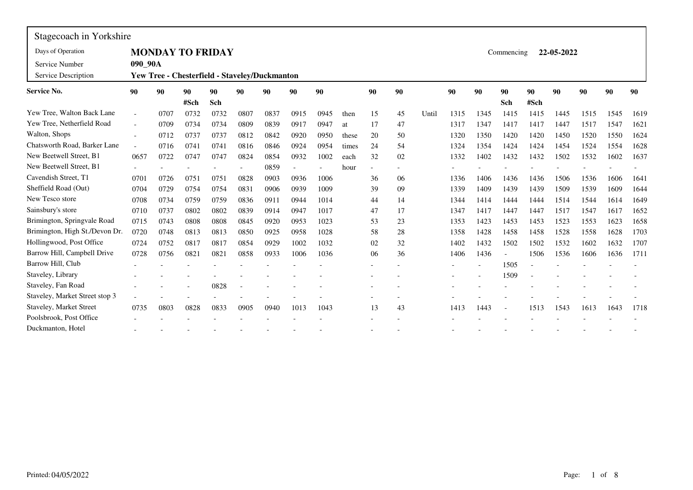| Stagecoach in Yorkshire               |                          |                                               |      |      |      |      |      |      |       |    |    |       |      |      |            |      |            |      |      |      |
|---------------------------------------|--------------------------|-----------------------------------------------|------|------|------|------|------|------|-------|----|----|-------|------|------|------------|------|------------|------|------|------|
| Days of Operation                     |                          | <b>MONDAY TO FRIDAY</b>                       |      |      |      |      |      |      |       |    |    |       |      |      | Commencing |      | 22-05-2022 |      |      |      |
| Service Number<br>Service Description | 090 90A                  | Yew Tree - Chesterfield - Staveley/Duckmanton |      |      |      |      |      |      |       |    |    |       |      |      |            |      |            |      |      |      |
| <b>Service No.</b>                    | 90                       | 90                                            | 90   | 90   | 90   | 90   | 90   | 90   |       | 90 | 90 |       | 90   | 90   | 90         | 90   | 90         | 90   | 90   | 90   |
|                                       |                          |                                               | #Sch | Sch  |      |      |      |      |       |    |    |       |      |      | Sch        | #Sch |            |      |      |      |
| Yew Tree, Walton Back Lane            | $\overline{\phantom{a}}$ | 0707                                          | 0732 | 0732 | 0807 | 0837 | 0915 | 0945 | then  | 15 | 45 | Until | 1315 | 1345 | 1415       | 1415 | 1445       | 1515 | 1545 | 1619 |
| Yew Tree, Netherfield Road            | $\sim$                   | 0709                                          | 0734 | 0734 | 0809 | 0839 | 0917 | 0947 | at    | 17 | 47 |       | 1317 | 1347 | 1417       | 1417 | 1447       | 1517 | 1547 | 1621 |
| Walton, Shops                         | $\overline{\phantom{a}}$ | 0712                                          | 0737 | 0737 | 0812 | 0842 | 0920 | 0950 | these | 20 | 50 |       | 1320 | 1350 | 1420       | 1420 | 1450       | 1520 | 1550 | 1624 |
| Chatsworth Road, Barker Lane          | $\sim$                   | 0716                                          | 0741 | 0741 | 0816 | 0846 | 0924 | 0954 | times | 24 | 54 |       | 1324 | 1354 | 1424       | 1424 | 1454       | 1524 | 1554 | 1628 |
| New Beetwell Street, B1               | 0657                     | 0722                                          | 0747 | 0747 | 0824 | 0854 | 0932 | 1002 | each  | 32 | 02 |       | 1332 | 1402 | 1432       | 1432 | 1502       | 1532 | 1602 | 1637 |
| New Beetwell Street, B1               |                          |                                               |      |      |      | 0859 |      |      | hour  |    |    |       |      |      |            |      |            |      |      |      |
| Cavendish Street, T1                  | 0701                     | 0726                                          | 0751 | 0751 | 0828 | 0903 | 0936 | 1006 |       | 36 | 06 |       | 1336 | 1406 | 1436       | 1436 | 1506       | 1536 | 1606 | 1641 |
| Sheffield Road (Out)                  | 0704                     | 0729                                          | 0754 | 0754 | 0831 | 0906 | 0939 | 1009 |       | 39 | 09 |       | 1339 | 1409 | 1439       | 1439 | 1509       | 1539 | 1609 | 1644 |
| New Tesco store                       | 0708                     | 0734                                          | 0759 | 0759 | 0836 | 0911 | 0944 | 1014 |       | 44 | 14 |       | 1344 | 1414 | 1444       | 1444 | 1514       | 1544 | 1614 | 1649 |
| Sainsbury's store                     | 0710                     | 0737                                          | 0802 | 0802 | 0839 | 0914 | 0947 | 1017 |       | 47 | 17 |       | 1347 | 1417 | 1447       | 1447 | 1517       | 1547 | 1617 | 1652 |
| Brimington, Springvale Road           | 0715                     | 0743                                          | 0808 | 0808 | 0845 | 0920 | 0953 | 1023 |       | 53 | 23 |       | 1353 | 1423 | 1453       | 1453 | 1523       | 1553 | 1623 | 1658 |
| Brimington, High St./Devon Dr.        | 0720                     | 0748                                          | 0813 | 0813 | 0850 | 0925 | 0958 | 1028 |       | 58 | 28 |       | 1358 | 1428 | 1458       | 1458 | 1528       | 1558 | 1628 | 1703 |
| Hollingwood, Post Office              | 0724                     | 0752                                          | 0817 | 0817 | 0854 | 0929 | 1002 | 1032 |       | 02 | 32 |       | 1402 | 1432 | 1502       | 1502 | 1532       | 1602 | 1632 | 1707 |
| Barrow Hill, Campbell Drive           | 0728                     | 0756                                          | 0821 | 0821 | 0858 | 0933 | 1006 | 1036 |       | 06 | 36 |       | 1406 | 1436 |            | 1506 | 1536       | 1606 | 1636 | 1711 |
| Barrow Hill, Club                     |                          |                                               |      |      |      |      |      |      |       |    |    |       |      |      | 1505       |      |            |      |      |      |
| Staveley, Library                     |                          |                                               |      |      |      |      |      |      |       |    |    |       |      |      | 1509       |      |            |      |      |      |
| Staveley, Fan Road                    |                          |                                               |      | 0828 |      |      |      |      |       |    |    |       |      |      |            |      |            |      |      |      |
| Staveley, Market Street stop 3        |                          |                                               |      |      |      |      |      |      |       |    |    |       |      |      |            |      |            |      |      |      |
| <b>Staveley, Market Street</b>        | 0735                     | 0803                                          | 0828 | 0833 | 0905 | 0940 | 1013 | 1043 |       | 13 | 43 |       | 1413 | 1443 |            | 1513 | 1543       | 1613 | 1643 | 1718 |
| Poolsbrook, Post Office               |                          |                                               |      |      |      |      |      |      |       |    |    |       |      |      |            |      |            |      |      |      |
| Duckmanton, Hotel                     |                          |                                               |      |      |      |      |      |      |       |    |    |       |      |      |            |      |            |      |      |      |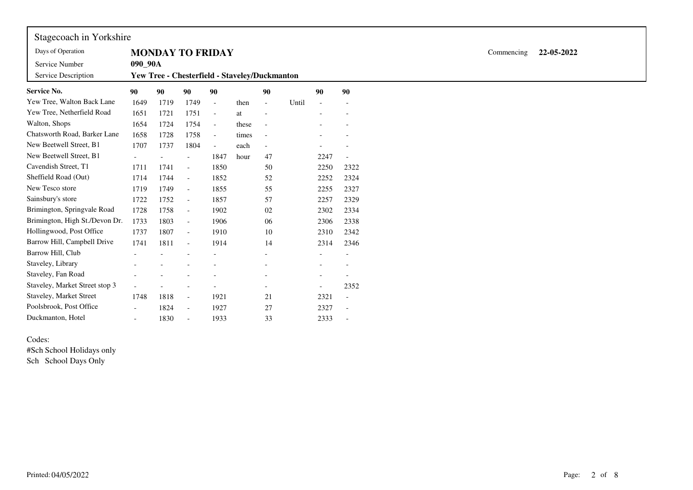| Stagecoach in Yorkshire        |                          |                          |                                               |                          |       |                          |       |                          |                          |
|--------------------------------|--------------------------|--------------------------|-----------------------------------------------|--------------------------|-------|--------------------------|-------|--------------------------|--------------------------|
| Days of Operation              |                          |                          | <b>MONDAY TO FRIDAY</b>                       |                          |       |                          |       |                          |                          |
| Service Number                 | 090 90A                  |                          |                                               |                          |       |                          |       |                          |                          |
| Service Description            |                          |                          | Yew Tree - Chesterfield - Staveley/Duckmanton |                          |       |                          |       |                          |                          |
| <b>Service No.</b>             | 90                       | 90                       | 90                                            | 90                       |       | 90                       |       | 90                       | 90                       |
| Yew Tree, Walton Back Lane     | 1649                     | 1719                     | 1749                                          |                          | then  | $\overline{\phantom{a}}$ | Until | $\blacksquare$           |                          |
| Yew Tree, Netherfield Road     | 1651                     | 1721                     | 1751                                          | $\overline{\phantom{a}}$ | at    | $\overline{a}$           |       | $\overline{\phantom{a}}$ |                          |
| Walton, Shops                  | 1654                     | 1724                     | 1754                                          | $\overline{\phantom{a}}$ | these | $\overline{\phantom{a}}$ |       | $\overline{\phantom{a}}$ | $\overline{\phantom{0}}$ |
| Chatsworth Road, Barker Lane   | 1658                     | 1728                     | 1758                                          | $\overline{\phantom{0}}$ | times | $\overline{\phantom{a}}$ |       |                          |                          |
| New Beetwell Street, B1        | 1707                     | 1737                     | 1804                                          |                          | each  | $\overline{\phantom{a}}$ |       |                          |                          |
| New Beetwell Street, B1        |                          | $\overline{\phantom{a}}$ | $\overline{\phantom{0}}$                      | 1847                     | hour  | 47                       |       | 2247                     | $\overline{a}$           |
| Cavendish Street, T1           | 1711                     | 1741                     | $\overline{\phantom{0}}$                      | 1850                     |       | 50                       |       | 2250                     | 2322                     |
| Sheffield Road (Out)           | 1714                     | 1744                     | $\overline{\phantom{0}}$                      | 1852                     |       | 52                       |       | 2252                     | 2324                     |
| New Tesco store                | 1719                     | 1749                     | $\overline{\phantom{0}}$                      | 1855                     |       | 55                       |       | 2255                     | 2327                     |
| Sainsbury's store              | 1722                     | 1752                     | $\overline{\phantom{0}}$                      | 1857                     |       | 57                       |       | 2257                     | 2329                     |
| Brimington, Springvale Road    | 1728                     | 1758                     | $\overline{\phantom{a}}$                      | 1902                     |       | 02                       |       | 2302                     | 2334                     |
| Brimington, High St./Devon Dr. | 1733                     | 1803                     | $\overline{\phantom{0}}$                      | 1906                     |       | 06                       |       | 2306                     | 2338                     |
| Hollingwood, Post Office       | 1737                     | 1807                     | $\overline{\phantom{0}}$                      | 1910                     |       | 10                       |       | 2310                     | 2342                     |
| Barrow Hill, Campbell Drive    | 1741                     | 1811                     | $\overline{\phantom{0}}$                      | 1914                     |       | 14                       |       | 2314                     | 2346                     |
| Barrow Hill, Club              | $\overline{\phantom{a}}$ | $\overline{\phantom{a}}$ | $\overline{\phantom{0}}$                      | $\overline{\phantom{a}}$ |       | $\overline{\phantom{a}}$ |       | $\qquad \qquad -$        |                          |
| Staveley, Library              |                          |                          |                                               |                          |       |                          |       |                          |                          |
| Staveley, Fan Road             |                          |                          |                                               |                          |       |                          |       |                          |                          |
| Staveley, Market Street stop 3 |                          |                          | $\overline{\phantom{0}}$                      | $\overline{\phantom{a}}$ |       | $\overline{\phantom{a}}$ |       |                          | 2352                     |
| Staveley, Market Street        | 1748                     | 1818                     | $\overline{\phantom{a}}$                      | 1921                     |       | 21                       |       | 2321                     | $\overline{a}$           |
| Poolsbrook, Post Office        |                          | 1824                     | $\overline{\phantom{0}}$                      | 1927                     |       | 27                       |       | 2327                     |                          |
| Duckmanton, Hotel              |                          | 1830                     | $\overline{\phantom{0}}$                      | 1933                     |       | 33                       |       | 2333                     | $\overline{\phantom{0}}$ |

Codes: #Sch School Holidays onlySch School Days Only

Commencing **22-05-2022**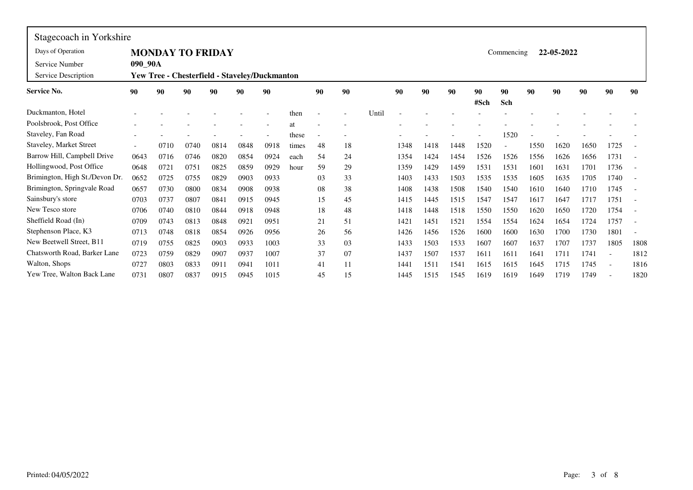| Stagecoach in Yorkshire        |         |      |                                               |      |      |      |       |    |    |       |      |      |      |      |            |      |            |      |                          |                          |
|--------------------------------|---------|------|-----------------------------------------------|------|------|------|-------|----|----|-------|------|------|------|------|------------|------|------------|------|--------------------------|--------------------------|
| Days of Operation              |         |      | <b>MONDAY TO FRIDAY</b>                       |      |      |      |       |    |    |       |      |      |      |      | Commencing |      | 22-05-2022 |      |                          |                          |
| Service Number                 | 090_90A |      |                                               |      |      |      |       |    |    |       |      |      |      |      |            |      |            |      |                          |                          |
| Service Description            |         |      | Yew Tree - Chesterfield - Staveley/Duckmanton |      |      |      |       |    |    |       |      |      |      |      |            |      |            |      |                          |                          |
| <b>Service No.</b>             | 90      | 90   | 90                                            | 90   | 90   | 90   |       | 90 | 90 |       | 90   | 90   | 90   | 90   | 90         | 90   | 90         | 90   | 90                       | 90                       |
|                                |         |      |                                               |      |      |      |       |    |    |       |      |      |      | #Sch | Sch        |      |            |      |                          |                          |
| Duckmanton, Hotel              |         |      |                                               |      |      |      | then  |    |    | Until |      |      |      |      |            |      |            |      |                          |                          |
| Poolsbrook, Post Office        |         |      |                                               |      |      |      | at    |    |    |       |      |      |      |      |            |      |            |      |                          |                          |
| Staveley, Fan Road             |         |      |                                               |      |      |      | these |    |    |       |      |      |      |      | 1520       |      |            |      |                          |                          |
| Staveley, Market Street        |         | 0710 | 0740                                          | 0814 | 0848 | 0918 | times | 48 | 18 |       | 1348 | 1418 | 1448 | 1520 |            | 1550 | 1620       | 1650 | 1725                     |                          |
| Barrow Hill, Campbell Drive    | 0643    | 0716 | 0746                                          | 0820 | 0854 | 0924 | each  | 54 | 24 |       | 1354 | 1424 | 1454 | 1526 | 1526       | 1556 | 1626       | 1656 | 1731                     |                          |
| Hollingwood, Post Office       | 0648    | 0721 | 0751                                          | 0825 | 0859 | 0929 | hour  | 59 | 29 |       | 1359 | 1429 | 1459 | 1531 | 1531       | 1601 | 1631       | 1701 | 1736                     |                          |
| Brimington, High St./Devon Dr. | 0652    | 0725 | 0755                                          | 0829 | 0903 | 0933 |       | 03 | 33 |       | 1403 | 1433 | 1503 | 1535 | 1535       | 1605 | 1635       | 1705 | 1740                     | $\overline{\phantom{a}}$ |
| Brimington, Springvale Road    | 0657    | 0730 | 0800                                          | 0834 | 0908 | 0938 |       | 08 | 38 |       | 1408 | 1438 | 1508 | 1540 | 1540       | 1610 | 1640       | 1710 | 1745                     |                          |
| Sainsbury's store              | 0703    | 0737 | 0807                                          | 0841 | 0915 | 0945 |       | 15 | 45 |       | 1415 | 1445 | 1515 | 1547 | 1547       | 1617 | 1647       | 1717 | 1751                     |                          |
| New Tesco store                | 0706    | 0740 | 0810                                          | 0844 | 0918 | 0948 |       | 18 | 48 |       | 1418 | 1448 | 1518 | 1550 | 1550       | 1620 | 1650       | 1720 | 1754                     |                          |
| Sheffield Road (In)            | 0709    | 0743 | 0813                                          | 0848 | 0921 | 0951 |       | 21 | 51 |       | 1421 | 1451 | 1521 | 1554 | 1554       | 1624 | 1654       | 1724 | 1757                     |                          |
| Stephenson Place, K3           | 0713    | 0748 | 0818                                          | 0854 | 0926 | 0956 |       | 26 | 56 |       | 1426 | 1456 | 1526 | 1600 | 1600       | 1630 | 1700       | 1730 | 1801                     | $\overline{\phantom{a}}$ |
| New Beetwell Street, B11       | 0719    | 0755 | 0825                                          | 0903 | 0933 | 1003 |       | 33 | 03 |       | 1433 | 1503 | 1533 | 1607 | 1607       | 1637 | 1707       | 1737 | 1805                     | 1808                     |
| Chatsworth Road, Barker Lane   | 0723    | 0759 | 0829                                          | 0907 | 0937 | 1007 |       | 37 | 07 |       | 1437 | 1507 | 1537 | 1611 | 1611       | 1641 | 1711       | 1741 | $\overline{\phantom{a}}$ | 1812                     |
| Walton, Shops                  | 0727    | 0803 | 0833                                          | 0911 | 0941 | 1011 |       | 41 | 11 |       | 1441 | 1511 | 1541 | 1615 | 1615       | 1645 | 1715       | 1745 | $\overline{a}$           | 1816                     |
| Yew Tree, Walton Back Lane     | 0731    | 0807 | 0837                                          | 0915 | 0945 | 1015 |       | 45 | 15 |       | 1445 | 1515 | 1545 | 1619 | 1619       | 1649 | 1719       | 1749 | $\overline{\phantom{a}}$ | 1820                     |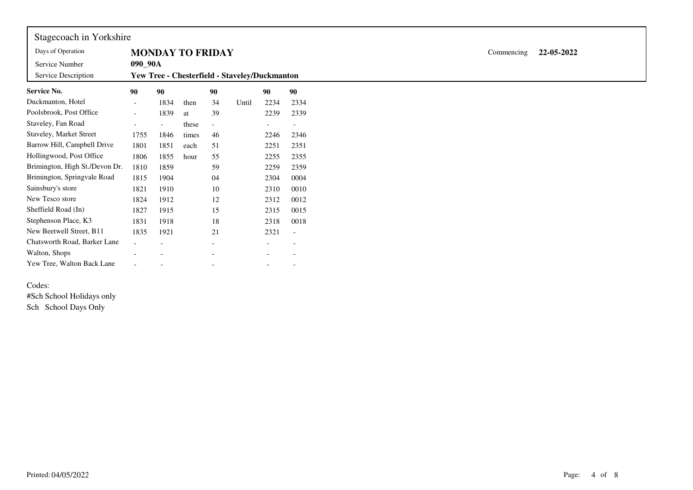| Stagecoach in Yorkshire        |                          |                         |       |                          |                                               |                          |                          |
|--------------------------------|--------------------------|-------------------------|-------|--------------------------|-----------------------------------------------|--------------------------|--------------------------|
| Days of Operation              |                          | <b>MONDAY TO FRIDAY</b> |       |                          |                                               |                          |                          |
| Service Number                 | 090_90A                  |                         |       |                          |                                               |                          |                          |
| Service Description            |                          |                         |       |                          | Yew Tree - Chesterfield - Staveley/Duckmanton |                          |                          |
| Service No.                    | 90                       | 90                      |       | 90                       |                                               | 90                       | 90                       |
| Duckmanton, Hotel              | $\overline{\phantom{a}}$ | 1834                    | then  | 34                       | Until                                         | 2234                     | 2334                     |
| Poolsbrook, Post Office        | $\overline{\phantom{0}}$ | 1839                    | at    | 39                       |                                               | 2239                     | 2339                     |
| Staveley, Fan Road             | $\overline{\phantom{a}}$ |                         | these |                          |                                               |                          | $\overline{\phantom{a}}$ |
| Staveley, Market Street        | 1755                     | 1846                    | times | 46                       |                                               | 2246                     | 2346                     |
| Barrow Hill, Campbell Drive    | 1801                     | 1851                    | each  | 51                       |                                               | 2251                     | 2351                     |
| Hollingwood, Post Office       | 1806                     | 1855                    | hour  | 55                       |                                               | 2255                     | 2355                     |
| Brimington, High St./Devon Dr. | 1810                     | 1859                    |       | 59                       |                                               | 2259                     | 2359                     |
| Brimington, Springvale Road    | 1815                     | 1904                    |       | 04                       |                                               | 2304                     | 0004                     |
| Sainsbury's store              | 1821                     | 1910                    |       | 10                       |                                               | 2310                     | 0010                     |
| New Tesco store                | 1824                     | 1912                    |       | 12                       |                                               | 2312                     | 0012                     |
| Sheffield Road (In)            | 1827                     | 1915                    |       | 15                       |                                               | 2315                     | 0015                     |
| Stephenson Place, K3           | 1831                     | 1918                    |       | 18                       |                                               | 2318                     | 0018                     |
| New Beetwell Street, B11       | 1835                     | 1921                    |       | 21                       |                                               | 2321                     | $\overline{\phantom{a}}$ |
| Chatsworth Road, Barker Lane   | $\overline{\phantom{a}}$ |                         |       |                          |                                               |                          | $\overline{\phantom{a}}$ |
| Walton, Shops                  |                          |                         |       |                          |                                               |                          | $\overline{\phantom{a}}$ |
| Yew Tree, Walton Back Lane     | $\overline{\phantom{a}}$ |                         |       | $\overline{\phantom{a}}$ |                                               | $\overline{\phantom{a}}$ | $\overline{\phantom{a}}$ |

## Codes:

#Sch School Holidays only Sch School Days Only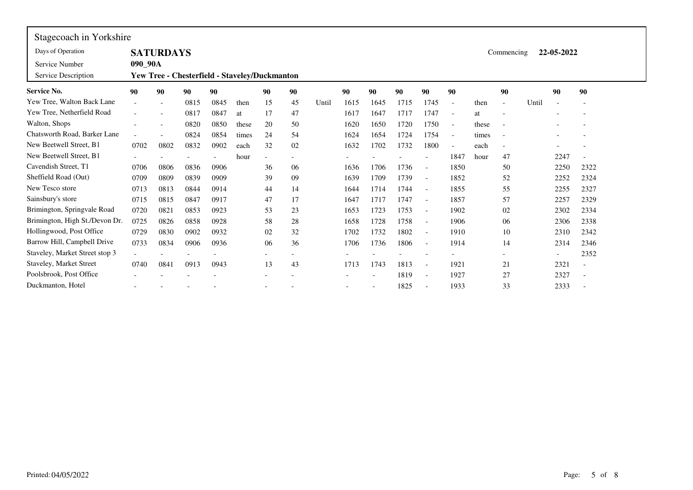| Stagecoach in Yorkshire        |                          |                          |                                                      |      |       |                |    |       |      |      |      |                          |                          |       |                          |       |                          |                          |  |
|--------------------------------|--------------------------|--------------------------|------------------------------------------------------|------|-------|----------------|----|-------|------|------|------|--------------------------|--------------------------|-------|--------------------------|-------|--------------------------|--------------------------|--|
| Days of Operation              |                          | <b>SATURDAYS</b>         |                                                      |      |       |                |    |       |      |      |      |                          |                          |       | Commencing               |       | 22-05-2022               |                          |  |
| Service Number                 | 090_90A                  |                          |                                                      |      |       |                |    |       |      |      |      |                          |                          |       |                          |       |                          |                          |  |
| Service Description            |                          |                          | <b>Yew Tree - Chesterfield - Staveley/Duckmanton</b> |      |       |                |    |       |      |      |      |                          |                          |       |                          |       |                          |                          |  |
| <b>Service No.</b>             | 90                       | 90                       | 90                                                   | 90   |       | 90             | 90 |       | 90   | 90   | 90   | 90                       | 90                       |       | 90                       |       | 90                       | 90                       |  |
| Yew Tree, Walton Back Lane     | $\overline{\phantom{a}}$ | $\overline{\phantom{0}}$ | 0815                                                 | 0845 | then  | 15             | 45 | Until | 1615 | 1645 | 1715 | 1745                     | $\overline{\phantom{a}}$ | then  | $\blacksquare$           | Until |                          | $\overline{\phantom{a}}$ |  |
| Yew Tree, Netherfield Road     |                          |                          | 0817                                                 | 0847 | at    | 17             | 47 |       | 1617 | 1647 | 1717 | 1747                     | $\overline{\phantom{a}}$ | at    | $\overline{\phantom{a}}$ |       |                          |                          |  |
| Walton, Shops                  |                          | $\overline{\phantom{a}}$ | 0820                                                 | 0850 | these | 20             | 50 |       | 1620 | 1650 | 1720 | 1750                     | $\overline{\phantom{a}}$ | these | $\overline{\phantom{a}}$ |       |                          |                          |  |
| Chatsworth Road, Barker Lane   |                          |                          | 0824                                                 | 0854 | times | 24             | 54 |       | 1624 | 1654 | 1724 | 1754                     | $\overline{\phantom{a}}$ | times | $\overline{\phantom{a}}$ |       |                          |                          |  |
| New Beetwell Street, B1        | 0702                     | 0802                     | 0832                                                 | 0902 | each  | 32             | 02 |       | 1632 | 1702 | 1732 | 1800                     | $\overline{\phantom{a}}$ | each  | $\overline{\phantom{a}}$ |       |                          |                          |  |
| New Beetwell Street, B1        |                          |                          |                                                      |      | hour  | $\overline{a}$ |    |       |      |      |      |                          | 1847                     | hour  | 47                       |       | 2247                     |                          |  |
| Cavendish Street, T1           | 0706                     | 0806                     | 0836                                                 | 0906 |       | 36             | 06 |       | 1636 | 1706 | 1736 |                          | 1850                     |       | 50                       |       | 2250                     | 2322                     |  |
| Sheffield Road (Out)           | 0709                     | 0809                     | 0839                                                 | 0909 |       | 39             | 09 |       | 1639 | 1709 | 1739 |                          | 1852                     |       | 52                       |       | 2252                     | 2324                     |  |
| New Tesco store                | 0713                     | 0813                     | 0844                                                 | 0914 |       | 44             | 14 |       | 1644 | 1714 | 1744 |                          | 1855                     |       | 55                       |       | 2255                     | 2327                     |  |
| Sainsbury's store              | 0715                     | 0815                     | 0847                                                 | 0917 |       | 47             | 17 |       | 1647 | 1717 | 1747 | $\overline{\phantom{a}}$ | 1857                     |       | 57                       |       | 2257                     | 2329                     |  |
| Brimington, Springvale Road    | 0720                     | 0821                     | 0853                                                 | 0923 |       | 53             | 23 |       | 1653 | 1723 | 1753 | $\overline{\phantom{a}}$ | 1902                     |       | 02                       |       | 2302                     | 2334                     |  |
| Brimington, High St./Devon Dr. | 0725                     | 0826                     | 0858                                                 | 0928 |       | 58             | 28 |       | 1658 | 1728 | 1758 | $\overline{\phantom{a}}$ | 1906                     |       | 06                       |       | 2306                     | 2338                     |  |
| Hollingwood, Post Office       | 0729                     | 0830                     | 0902                                                 | 0932 |       | 02             | 32 |       | 1702 | 1732 | 1802 |                          | 1910                     |       | 10                       |       | 2310                     | 2342                     |  |
| Barrow Hill, Campbell Drive    | 0733                     | 0834                     | 0906                                                 | 0936 |       | 06             | 36 |       | 1706 | 1736 | 1806 | $\overline{\phantom{a}}$ | 1914                     |       | 14                       |       | 2314                     | 2346                     |  |
| Staveley, Market Street stop 3 | $\sim$                   |                          |                                                      |      |       |                |    |       |      |      |      |                          |                          |       | $\overline{\phantom{a}}$ |       | $\overline{\phantom{a}}$ | 2352                     |  |
| Staveley, Market Street        | 0740                     | 0841                     | 0913                                                 | 0943 |       | 13             | 43 |       | 1713 | 1743 | 1813 |                          | 1921                     |       | 21                       |       | 2321                     | $\overline{\phantom{a}}$ |  |
| Poolsbrook, Post Office        |                          |                          |                                                      |      |       |                |    |       |      |      | 1819 | $\overline{\phantom{a}}$ | 1927                     |       | 27                       |       | 2327                     | $\overline{\phantom{a}}$ |  |
| Duckmanton, Hotel              |                          |                          |                                                      |      |       |                |    |       |      |      | 1825 |                          | 1933                     |       | 33                       |       | 2333                     | $\overline{\phantom{a}}$ |  |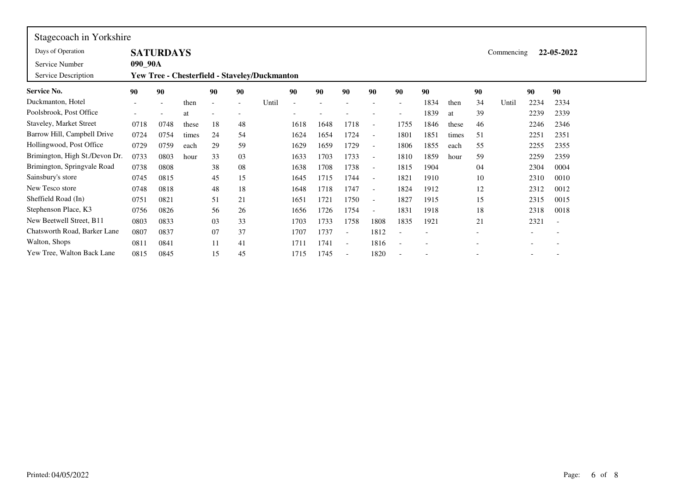| Stagecoach in Yorkshire        |                          |                          |       |    |    |                                               |      |      |                          |                          |                          |      |       |                          |            |                          |                          |
|--------------------------------|--------------------------|--------------------------|-------|----|----|-----------------------------------------------|------|------|--------------------------|--------------------------|--------------------------|------|-------|--------------------------|------------|--------------------------|--------------------------|
| Days of Operation              |                          | <b>SATURDAYS</b>         |       |    |    |                                               |      |      |                          |                          |                          |      |       |                          | Commencing |                          | 22-05-2022               |
| Service Number                 | 090_90A                  |                          |       |    |    |                                               |      |      |                          |                          |                          |      |       |                          |            |                          |                          |
| Service Description            |                          |                          |       |    |    | Yew Tree - Chesterfield - Staveley/Duckmanton |      |      |                          |                          |                          |      |       |                          |            |                          |                          |
| <b>Service No.</b>             | 90                       | 90                       |       | 90 | 90 |                                               | 90   | 90   | 90                       | 90                       | 90                       | 90   |       | 90                       |            | 90                       | 90                       |
| Duckmanton, Hotel              | $\overline{\phantom{0}}$ | $\overline{\phantom{a}}$ | then  |    |    | Until                                         |      |      |                          |                          | $\overline{\phantom{a}}$ | 1834 | then  | 34                       | Until      | 2234                     | 2334                     |
| Poolsbrook, Post Office        | $\overline{\phantom{0}}$ |                          | at    |    |    |                                               |      |      |                          |                          | $\overline{\phantom{a}}$ | 1839 | at    | 39                       |            | 2239                     | 2339                     |
| Staveley, Market Street        | 0718                     | 0748                     | these | 18 | 48 |                                               | 1618 | 1648 | 1718                     |                          | 1755                     | 1846 | these | 46                       |            | 2246                     | 2346                     |
| Barrow Hill, Campbell Drive    | 0724                     | 0754                     | times | 24 | 54 |                                               | 1624 | 1654 | 1724                     | $\overline{\phantom{a}}$ | 1801                     | 1851 | times | 51                       |            | 2251                     | 2351                     |
| Hollingwood, Post Office       | 0729                     | 0759                     | each  | 29 | 59 |                                               | 1629 | 1659 | 1729                     | $\overline{\phantom{a}}$ | 1806                     | 1855 | each  | 55                       |            | 2255                     | 2355                     |
| Brimington, High St./Devon Dr. | 0733                     | 0803                     | hour  | 33 | 03 |                                               | 1633 | 1703 | 1733                     | $\overline{\phantom{a}}$ | 1810                     | 1859 | hour  | 59                       |            | 2259                     | 2359                     |
| Brimington, Springvale Road    | 0738                     | 0808                     |       | 38 | 08 |                                               | 1638 | 1708 | 1738                     | $\overline{\phantom{a}}$ | 1815                     | 1904 |       | 04                       |            | 2304                     | 0004                     |
| Sainsbury's store              | 0745                     | 0815                     |       | 45 | 15 |                                               | 1645 | 1715 | 1744                     | $\overline{\phantom{a}}$ | 1821                     | 1910 |       | 10                       |            | 2310                     | 0010                     |
| New Tesco store                | 0748                     | 0818                     |       | 48 | 18 |                                               | 1648 | 1718 | 1747                     | $\overline{\phantom{a}}$ | 1824                     | 1912 |       | 12                       |            | 2312                     | 0012                     |
| Sheffield Road (In)            | 0751                     | 0821                     |       | 51 | 21 |                                               | 1651 | 1721 | 1750                     | $\overline{\phantom{a}}$ | 1827                     | 1915 |       | 15                       |            | 2315                     | 0015                     |
| Stephenson Place, K3           | 0756                     | 0826                     |       | 56 | 26 |                                               | 1656 | 1726 | 1754                     |                          | 1831                     | 1918 |       | 18                       |            | 2318                     | 0018                     |
| New Beetwell Street, B11       | 0803                     | 0833                     |       | 03 | 33 |                                               | 1703 | 1733 | 1758                     | 1808                     | 1835                     | 1921 |       | 21                       |            | 2321                     | $\overline{\phantom{a}}$ |
| Chatsworth Road, Barker Lane   | 0807                     | 0837                     |       | 07 | 37 |                                               | 1707 | 1737 | $\overline{\phantom{a}}$ | 1812                     | $\overline{\phantom{a}}$ |      |       | $\overline{\phantom{a}}$ |            | $\overline{\phantom{a}}$ | $\overline{\phantom{a}}$ |
| Walton, Shops                  | 0811                     | 0841                     |       | 11 | 41 |                                               | 1711 | 1741 | $\overline{\phantom{a}}$ | 1816                     |                          |      |       |                          |            |                          |                          |
| Yew Tree, Walton Back Lane     | 0815                     | 0845                     |       | 15 | 45 |                                               | 1715 | 1745 |                          | 1820                     | $\overline{\phantom{a}}$ |      |       |                          |            | $\overline{\phantom{a}}$ | $\overline{\phantom{a}}$ |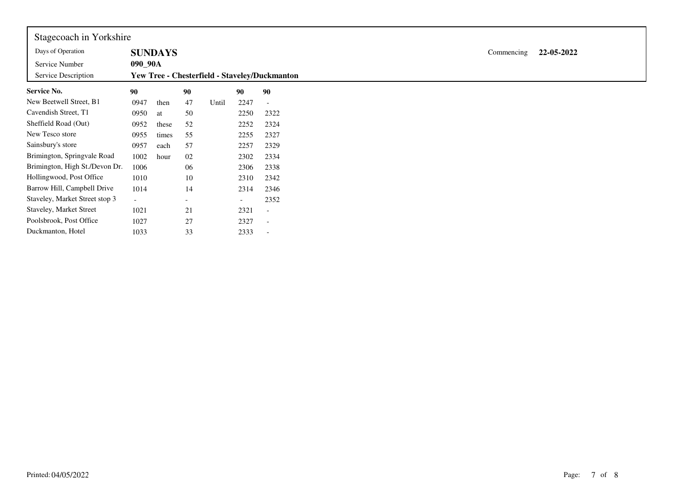| Stagecoach in Yorkshire        |         |                |    |       |                          |                                               |
|--------------------------------|---------|----------------|----|-------|--------------------------|-----------------------------------------------|
| Days of Operation              |         | <b>SUNDAYS</b> |    |       |                          |                                               |
| Service Number                 | 090_90A |                |    |       |                          |                                               |
| Service Description            |         |                |    |       |                          | Yew Tree - Chesterfield - Staveley/Duckmanton |
| <b>Service No.</b>             | 90      |                | 90 |       | 90                       | 90                                            |
| New Beetwell Street, B1        | 0947    | then           | 47 | Until | 2247                     | $\overline{\phantom{a}}$                      |
| Cavendish Street, T1           | 0950    | at             | 50 |       | 2250                     | 2322                                          |
| Sheffield Road (Out)           | 0952    | these          | 52 |       | 2252                     | 2324                                          |
| New Tesco store                | 0955    | times          | 55 |       | 2255                     | 2327                                          |
| Sainsbury's store              | 0957    | each           | 57 |       | 2257                     | 2329                                          |
| Brimington, Springvale Road    | 1002    | hour           | 02 |       | 2302                     | 2334                                          |
| Brimington, High St./Devon Dr. | 1006    |                | 06 |       | 2306                     | 2338                                          |
| Hollingwood, Post Office       | 1010    |                | 10 |       | 2310                     | 2342                                          |
| Barrow Hill, Campbell Drive    | 1014    |                | 14 |       | 2314                     | 2346                                          |
| Staveley, Market Street stop 3 | $-$     |                |    |       | $\overline{\phantom{a}}$ | 2352                                          |
| Staveley, Market Street        | 1021    |                | 21 |       | 2321                     | $\overline{\phantom{a}}$                      |
| Poolsbrook, Post Office        | 1027    |                | 27 |       | 2327                     | $\overline{\phantom{a}}$                      |
| Duckmanton, Hotel              | 1033    |                | 33 |       | 2333                     |                                               |